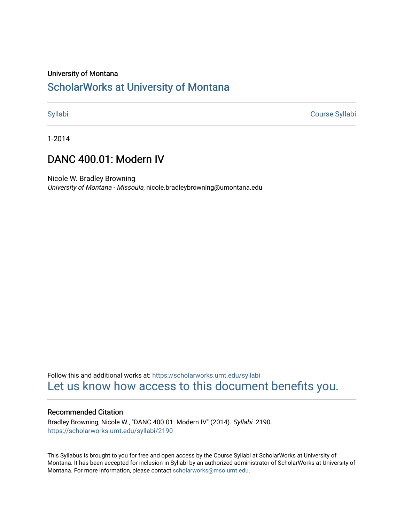# University of Montana

# [ScholarWorks at University of Montana](https://scholarworks.umt.edu/)

[Syllabi](https://scholarworks.umt.edu/syllabi) [Course Syllabi](https://scholarworks.umt.edu/course_syllabi) 

1-2014

# DANC 400.01: Modern IV

Nicole W. Bradley Browning University of Montana - Missoula, nicole.bradleybrowning@umontana.edu

Follow this and additional works at: [https://scholarworks.umt.edu/syllabi](https://scholarworks.umt.edu/syllabi?utm_source=scholarworks.umt.edu%2Fsyllabi%2F2190&utm_medium=PDF&utm_campaign=PDFCoverPages)  [Let us know how access to this document benefits you.](https://goo.gl/forms/s2rGfXOLzz71qgsB2) 

# Recommended Citation

Bradley Browning, Nicole W., "DANC 400.01: Modern IV" (2014). Syllabi. 2190. [https://scholarworks.umt.edu/syllabi/2190](https://scholarworks.umt.edu/syllabi/2190?utm_source=scholarworks.umt.edu%2Fsyllabi%2F2190&utm_medium=PDF&utm_campaign=PDFCoverPages)

This Syllabus is brought to you for free and open access by the Course Syllabi at ScholarWorks at University of Montana. It has been accepted for inclusion in Syllabi by an authorized administrator of ScholarWorks at University of Montana. For more information, please contact [scholarworks@mso.umt.edu.](mailto:scholarworks@mso.umt.edu)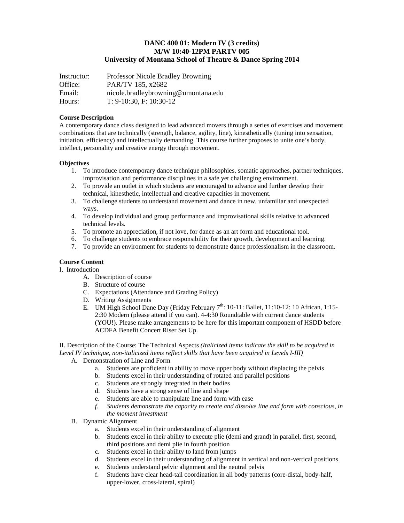### **DANC 400 01: Modern IV (3 credits) M/W 10:40-12PM PARTV 005 University of Montana School of Theatre & Dance Spring 2014**

| Instructor: | Professor Nicole Bradley Browning   |
|-------------|-------------------------------------|
| Office:     | PAR/TV 185, x2682                   |
| Email:      | nicole.bradleybrowning@umontana.edu |
| Hours:      | $T: 9-10:30, F: 10:30-12$           |

#### **Course Description**

A contemporary dance class designed to lead advanced movers through a series of exercises and movement combinations that are technically (strength, balance, agility, line), kinesthetically (tuning into sensation, initiation, efficiency) and intellectually demanding. This course further proposes to unite one's body, intellect, personality and creative energy through movement.

#### **Objectives**

- 1. To introduce contemporary dance technique philosophies, somatic approaches, partner techniques, improvisation and performance disciplines in a safe yet challenging environment.
- 2. To provide an outlet in which students are encouraged to advance and further develop their technical, kinesthetic, intellectual and creative capacities in movement.
- 3. To challenge students to understand movement and dance in new, unfamiliar and unexpected ways.
- 4. To develop individual and group performance and improvisational skills relative to advanced technical levels.
- 5. To promote an appreciation, if not love, for dance as an art form and educational tool.
- 6. To challenge students to embrace responsibility for their growth, development and learning.
- 7. To provide an environment for students to demonstrate dance professionalism in the classroom.

#### **Course Content**

I. Introduction

- A. Description of course
- B. Structure of course
- C. Expectations (Attendance and Grading Policy)
- D. Writing Assignments
- E. UM High School Dane Day (Friday February  $7^{th}$ : 10-11: Ballet, 11:10-12: 10 African, 1:15-2:30 Modern (please attend if you can). 4-4:30 Roundtable with current dance students (YOU!). Please make arrangements to be here for this important component of HSDD before ACDFA Benefit Concert Riser Set Up.

II. Description of the Course: The Technical Aspects *(Italicized items indicate the skill to be acquired in Level IV technique, non-italicized items reflect skills that have been acquired in Levels I-III)*

- A. Demonstration of Line and Form
	- a. Students are proficient in ability to move upper body without displacing the pelvis
	- b. Students excel in their understanding of rotated and parallel positions
	- c. Students are strongly integrated in their bodies
	- d. Students have a strong sense of line and shape
	- e. Students are able to manipulate line and form with ease
	- *f. Students demonstrate the capacity to create and dissolve line and form with conscious, in the moment investment*
- B. Dynamic Alignment
	- a. Students excel in their understanding of alignment
	- b. Students excel in their ability to execute plie (demi and grand) in parallel, first, second, third positions and demi plie in fourth position
	- c. Students excel in their ability to land from jumps
	- d. Students excel in their understanding of alignment in vertical and non-vertical positions
	- e. Students understand pelvic alignment and the neutral pelvis
	- f. Students have clear head-tail coordination in all body patterns (core-distal, body-half, upper-lower, cross-lateral, spiral)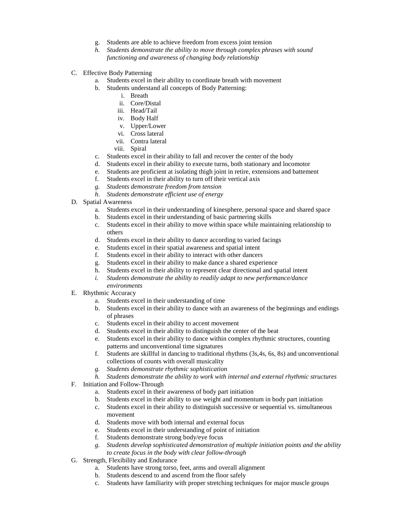- g. Students are able to achieve freedom from excess joint tension
- *h. Students demonstrate the ability to move through complex phrases with sound functioning and awareness of changing body relationship*
- C. Effective Body Patterning
	- a. Students excel in their ability to coordinate breath with movement
	- b. Students understand all concepts of Body Patterning:
		- i. Breath
		- ii. Core/Distal
		- iii. Head/Tail
		- iv. Body Half
		- v. Upper/Lower
		- vi. Cross lateral
		- vii. Contra lateral
		- viii. Spiral
	- c. Students excel in their ability to fall and recover the center of the body
	- d. Students excel in their ability to execute turns, both stationary and locomotor
	- e. Students are proficient at isolating thigh joint in retire, extensions and battement
	- f. Students excel in their ability to turn off their vertical axis
	- *g. Students demonstrate freedom from tension*
	- *h. Students demonstrate efficient use of energy*
- D. Spatial Awareness
	- a. Students excel in their understanding of kinesphere, personal space and shared space
	- b. Students excel in their understanding of basic partnering skills
	- c. Students excel in their ability to move within space while maintaining relationship to others
	- d. Students excel in their ability to dance according to varied facings
	- e. Students excel in their spatial awareness and spatial intent
	- f. Students excel in their ability to interact with other dancers
	- g. Students excel in their ability to make dance a shared experience
	- h. Students excel in their ability to represent clear directional and spatial intent
	- *i. Students demonstrate the ability to readily adapt to new performance/dance environments*
- E. Rhythmic Accuracy
	- a. Students excel in their understanding of time
	- b. Students excel in their ability to dance with an awareness of the beginnings and endings of phrases
	- c. Students excel in their ability to accent movement
	- d. Students excel in their ability to distinguish the center of the beat
	- e. Students excel in their ability to dance within complex rhythmic structures, counting patterns and unconventional time signatures
	- f. Students are skillful in dancing to traditional rhythms (3s,4s, 6s, 8s) and unconventional collections of counts with overall musicality
	- *g. Students demonstrate rhythmic sophistication*
	- *h. Students demonstrate the ability to work with internal and external rhythmic structures*
- F. Initiation and Follow-Through
	- a. Students excel in their awareness of body part initiation
	- b. Students excel in their ability to use weight and momentum in body part initiation
	- c. Students excel in their ability to distinguish successive or sequential vs. simultaneous movement
	- d. Students move with both internal and external focus
	- e. Students excel in their understanding of point of initiation
	- f. Students demonstrate strong body/eye focus
	- *g. Students develop sophisticated demonstration of multiple initiation points and the ability to create focus in the body with clear follow-through*
- G. Strength, Flexibility and Endurance
	- a. Students have strong torso, feet, arms and overall alignment
	- b. Students descend to and ascend from the floor safely
	- c. Students have familiarity with proper stretching techniques for major muscle groups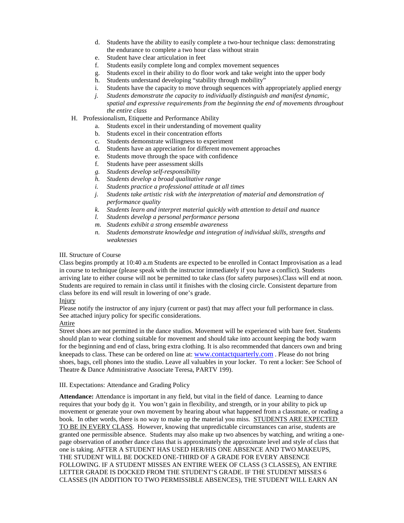- d. Students have the ability to easily complete a two-hour technique class: demonstrating the endurance to complete a two hour class without strain
- e. Student have clear articulation in feet
- f. Students easily complete long and complex movement sequences
- g. Students excel in their ability to do floor work and take weight into the upper body
- h. Students understand developing "stability through mobility"
- i. Students have the capacity to move through sequences with appropriately applied energy
- *j. Students demonstrate the capacity to individually distinguish and manifest dynamic, spatial and expressive requirements from the beginning the end of movements throughout the entire class*
- H. Professionalism, Etiquette and Performance Ability
	- a. Students excel in their understanding of movement quality
	- b. Students excel in their concentration efforts
	- c. Students demonstrate willingness to experiment
	- d. Students have an appreciation for different movement approaches
	- e. Students move through the space with confidence
	- f. Students have peer assessment skills
	- *g. Students develop self-responsibility*
	- *h. Students develop a broad qualitative range*
	- *i. Students practice a professional attitude at all times*
	- *j. Students take artistic risk with the interpretation of material and demonstration of performance quality*
	- *k. Students learn and interpret material quickly with attention to detail and nuance*
	- *l. Students develop a personal performance persona*
	- *m. Students exhibit a strong ensemble awareness*
	- *n. Students demonstrate knowledge and integration of individual skills, strengths and weaknesses*

#### III. Structure of Course

Class begins promptly at 10:40 a.m Students are expected to be enrolled in Contact Improvisation as a lead in course to technique (please speak with the instructor immediately if you have a conflict). Students arriving late to either course will not be permitted to take class (for safety purposes).Class will end at noon. Students are required to remain in class until it finishes with the closing circle. Consistent departure from class before its end will result in lowering of one's grade.

#### Injury

Please notify the instructor of any injury (current or past) that may affect your full performance in class. See attached injury policy for specific considerations.

#### Attire

Street shoes are not permitted in the dance studios. Movement will be experienced with bare feet. Students should plan to wear clothing suitable for movement and should take into account keeping the body warm for the beginning and end of class, bring extra clothing. It is also recommended that dancers own and bring kneepads to class. These can be ordered on line at[: www.contactquarterly.com](http://www.contactquarterly.com/) . Please do not bring shoes, bags, cell phones into the studio. Leave all valuables in your locker. To rent a locker: See School of Theatre & Dance Administrative Associate Teresa, PARTV 199).

#### III. Expectations: Attendance and Grading Policy

**Attendance:** Attendance is important in any field, but vital in the field of dance. Learning to dance requires that your body do it. You won't gain in flexibility, and strength, or in your ability to pick up movement or generate your own movement by hearing about what happened from a classmate, or reading a book. In other words, there is no way to make up the material you miss. STUDENTS ARE EXPECTED TO BE IN EVERY CLASS. However, knowing that unpredictable circumstances can arise, students are granted one permissible absence. Students may also make up two absences by watching, and writing a onepage observation of another dance class that is approximately the approximate level and style of class that one is taking. AFTER A STUDENT HAS USED HER/HIS ONE ABSENCE AND TWO MAKEUPS, THE STUDENT WILL BE DOCKED ONE-THIRD OF A GRADE FOR EVERY ABSENCE FOLLOWING. IF A STUDENT MISSES AN ENTIRE WEEK OF CLASS (3 CLASSES), AN ENTIRE LETTER GRADE IS DOCKED FROM THE STUDENT'S GRADE. IF THE STUDENT MISSES 6 CLASSES (IN ADDITION TO TWO PERMISSIBLE ABSENCES), THE STUDENT WILL EARN AN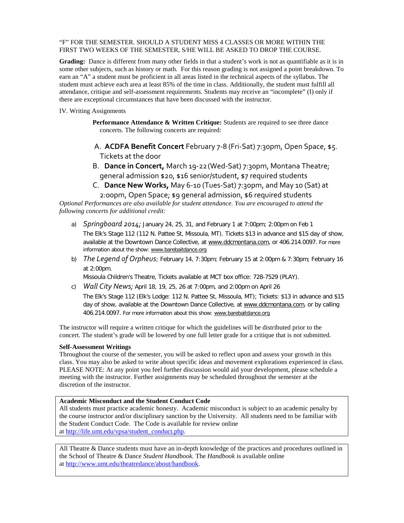#### "F" FOR THE SEMESTER. SHOULD A STUDENT MISS 4 CLASSES OR MORE WITHIN THE FIRST TWO WEEKS OF THE SEMESTER, S/HE WILL BE ASKED TO DROP THE COURSE.

**Grading:** Dance is different from many other fields in that a student's work is not as quantifiable as it is in some other subjects, such as history or math. For this reason grading is not assigned a point breakdown. To earn an "A" a student must be proficient in all areas listed in the technical aspects of the syllabus. The student must achieve each area at least 85% of the time in class. Additionally, the student must fulfill all attendance, critique and self-assessment requirements. Students may receive an "incomplete" (I) only if there are exceptional circumstances that have been discussed with the instructor.

IV. Writing Assignments

Performance Attendance & Written Critique: Students are required to see three dance concerts. The following concerts are required:

- A. **ACDFA Benefit Concert** February 7-8 (Fri-Sat) 7:30pm, Open Space, \$5. Tickets at the door
- B. **Dance in Concert,** March 19-22(Wed-Sat) 7:30pm, Montana Theatre; general admission \$20, \$16 senior/student, \$7 required students
- C. **Dance New Works,** May 6-10 (Tues-Sat) 7:30pm, and May 10 (Sat) at 2:00pm, Open Space; \$9 general admission, \$6 required students

*Optional Performances are also available for student attendance. You are encouraged to attend the following concerts for additional credit:*

- a) *Springboard 2014;* January 24, 25, 31, and February 1 at 7:00pm; 2:00pm on Feb 1 The Elk's Stage 112 (112 N. Pattee St, Missoula, MT). Tickets \$13 in advance and \$15 day of show, available at the Downtown Dance Collective, at [www.ddcmontana.com,](http://www.ddcmontana.com/) or 406.214.0097. For more information about the show: [www.barebaitdance.org](http://www.barebaitdance.org/)
- b) *The Legend of Orpheus*; February 14, 7:30pm; February 15 at 2:00pm & 7:30pm; February 16 at 2:00pm.

Missoula Children's Theatre, Tickets available at MCT box office: 728-7529 (PLAY).

c) *Wall City News;* April 18, 19, 25, 26 at 7:00pm, and 2:00pm on April 26

The Elk's Stage 112 (Elk's Lodge: 112 N. Pattee St, Missoula, MT); Tickets: \$13 in advance and \$15 day of show, available at the Downtown Dance Collective, at [www.ddcmontana.com,](http://www.ddcmontana.com/) or by calling 406.214.0097. For more information about this show[: www.barebaitdance.org](http://www.barebaitdance.org/)

The instructor will require a written critique for which the guidelines will be distributed prior to the concert. The student's grade will be lowered by one full letter grade for a critique that is not submitted.

# **Self-Assessment Writings**

Throughout the course of the semester, you will be asked to reflect upon and assess your growth in this class. You may also be asked to write about specific ideas and movement explorations experienced in class. PLEASE NOTE: At any point you feel further discussion would aid your development, please schedule a meeting with the instructor. Further assignments may be scheduled throughout the semester at the discretion of the instructor.

#### **Academic Misconduct and the Student Conduct Code**

All students must practice academic honesty. Academic misconduct is subject to an academic penalty by the course instructor and/or disciplinary sanction by the University. All students need to be familiar with the Student Conduct Code. The Code is available for review online a[t http://life.umt.edu/vpsa/student\\_conduct.php.](http://life.umt.edu/vpsa/student_conduct.php)

All Theatre & Dance students must have an in-depth knowledge of the practices and procedures outlined in the School of Theatre & Dance *Student Handbook.* The *Handbook* is available online a[t http://www.umt.edu/theatredance/about/handbook.](http://www.umt.edu/theatredance/about/handbook)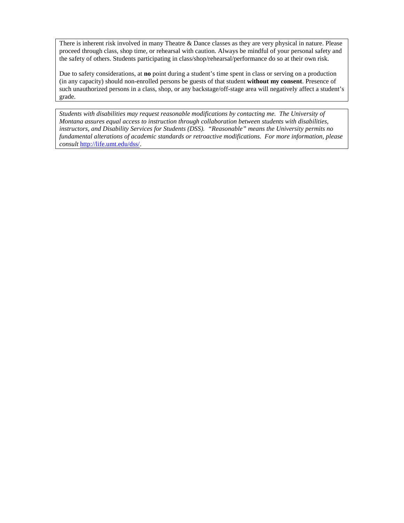There is inherent risk involved in many Theatre & Dance classes as they are very physical in nature. Please proceed through class, shop time, or rehearsal with caution. Always be mindful of your personal safety and the safety of others. Students participating in class/shop/rehearsal/performance do so at their own risk.

Due to safety considerations, at **no** point during a student's time spent in class or serving on a production (in any capacity) should non-enrolled persons be guests of that student **without my consent**. Presence of such unauthorized persons in a class, shop, or any backstage/off-stage area will negatively affect a student's grade.

*Students with disabilities may request reasonable modifications by contacting me. The University of Montana assures equal access to instruction through collaboration between students with disabilities, instructors, and Disability Services for Students (DSS). "Reasonable" means the University permits no fundamental alterations of academic standards or retroactive modifications. For more information, please consult* [http://life.umt.edu/dss/.](http://life.umt.edu/dss/)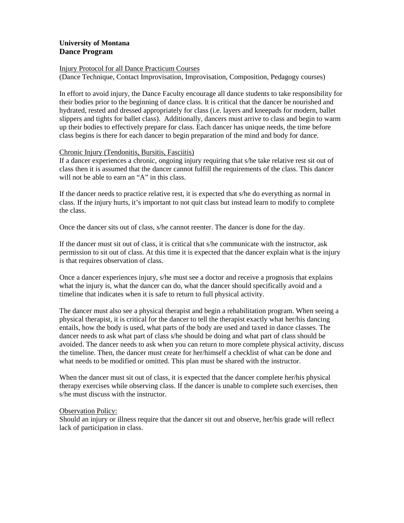# **University of Montana Dance Program**

### Injury Protocol for all Dance Practicum Courses

(Dance Technique, Contact Improvisation, Improvisation, Composition, Pedagogy courses)

In effort to avoid injury, the Dance Faculty encourage all dance students to take responsibility for their bodies prior to the beginning of dance class. It is critical that the dancer be nourished and hydrated, rested and dressed appropriately for class (i.e. layers and kneepads for modern, ballet slippers and tights for ballet class). Additionally, dancers must arrive to class and begin to warm up their bodies to effectively prepare for class. Each dancer has unique needs, the time before class begins is there for each dancer to begin preparation of the mind and body for dance.

# Chronic Injury (Tendonitis, Bursitis, Fasciitis)

If a dancer experiences a chronic, ongoing injury requiring that s/he take relative rest sit out of class then it is assumed that the dancer cannot fulfill the requirements of the class. This dancer will not be able to earn an "A" in this class.

If the dancer needs to practice relative rest, it is expected that s/he do everything as normal in class. If the injury hurts, it's important to not quit class but instead learn to modify to complete the class.

Once the dancer sits out of class, s/he cannot reenter. The dancer is done for the day.

If the dancer must sit out of class, it is critical that s/he communicate with the instructor, ask permission to sit out of class. At this time it is expected that the dancer explain what is the injury is that requires observation of class.

Once a dancer experiences injury, s/he must see a doctor and receive a prognosis that explains what the injury is, what the dancer can do, what the dancer should specifically avoid and a timeline that indicates when it is safe to return to full physical activity.

The dancer must also see a physical therapist and begin a rehabilitation program. When seeing a physical therapist, it is critical for the dancer to tell the therapist exactly what her/his dancing entails, how the body is used, what parts of the body are used and taxed in dance classes. The dancer needs to ask what part of class s/he should be doing and what part of class should be avoided. The dancer needs to ask when you can return to more complete physical activity, discuss the timeline. Then, the dancer must create for her/himself a checklist of what can be done and what needs to be modified or omitted. This plan must be shared with the instructor.

When the dancer must sit out of class, it is expected that the dancer complete her/his physical therapy exercises while observing class. If the dancer is unable to complete such exercises, then s/he must discuss with the instructor.

# Observation Policy:

Should an injury or illness require that the dancer sit out and observe, her/his grade will reflect lack of participation in class.